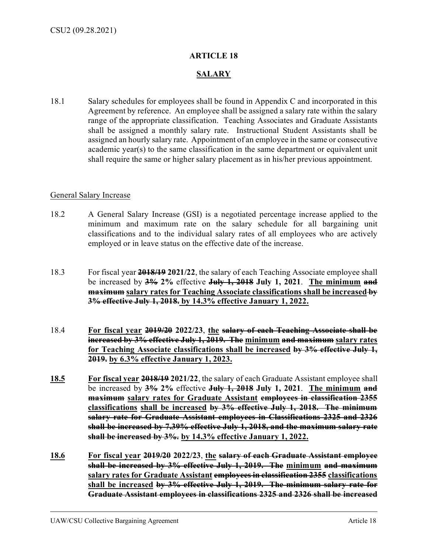## **ARTICLE 18**

## **SALARY**

18.1 Salary schedules for employees shall be found in Appendix C and incorporated in this Agreement by reference. An employee shall be assigned a salary rate within the salary range of the appropriate classification. Teaching Associates and Graduate Assistants shall be assigned a monthly salary rate. Instructional Student Assistants shall be assigned an hourly salary rate. Appointment of an employee in the same or consecutive academic year(s) to the same classification in the same department or equivalent unit shall require the same or higher salary placement as in his/her previous appointment.

## General Salary Increase

- 18.2 A General Salary Increase (GSI) is a negotiated percentage increase applied to the minimum and maximum rate on the salary schedule for all bargaining unit classifications and to the individual salary rates of all employees who are actively employed or in leave status on the effective date of the increase.
- 18.3 For fiscal year **2018/19 2021/22**, the salary of each Teaching Associate employee shall be increased by **3% 2%** effective **July 1, 2018 July 1, 2021**. **The minimum and maximum** salary rates for Teaching Associate classifications shall be increased by **3% effective July 1, 2018. by 14.3% effective January 1, 2022.**
- 18.4 **For fiscal year 2019/20 2022/23**, **the salary of each Teaching Associate shall be increased by 3% effective July 1, 2019. The minimum and maximum salary rates for Teaching Associate classifications shall be increased by 3% effective July 1, 2019. by 6.3% effective January 1, 2023.**
- **18.5 For fiscal year 2018/19 2021/22**, the salary of each Graduate Assistant employee shall be increased by **3% 2%** effective **July 1, 2018 July 1, 2021**. **The minimum and maximum salary rates for Graduate Assistant employees in classification 2355 classifications shall be increased by 3% effective July 1, 2018. The minimum salary rate for Graduate Assistant employees in Classifications 2325 and 2326 shall be increased by 7.39% effective July 1, 2018, and the maximum salary rate shall be increased by 3%. by 14.3% effective January 1, 2022.**
- **18.6 For fiscal year 2019/20 2022/23**, **the salary of each Graduate Assistant employee shall be increased by 3% effective July 1, 2019. The minimum and maximum salary rates for Graduate Assistant employees in classification 2355 classifications shall be increased by 3% effective July 1, 2019. The minimum salary rate for Graduate Assistant employees in classifications 2325 and 2326 shall be increased**